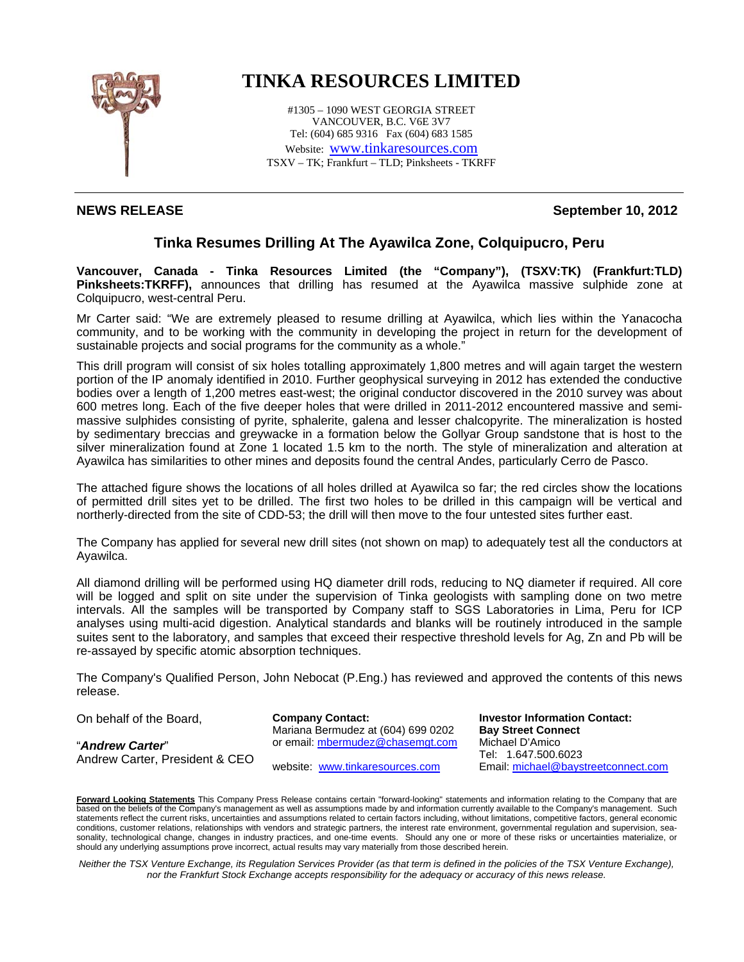

## **TINKA RESOURCES LIMITED**

#1305 – 1090 WEST GEORGIA STREET VANCOUVER, B.C. V6E 3V7 Tel: (604) 685 9316 Fax (604) 683 1585 Website: www.tinkaresources.com TSXV – TK; Frankfurt – TLD; Pinksheets - TKRFF

## **NEWS RELEASE September 10, 2012**

## **Tinka Resumes Drilling At The Ayawilca Zone, Colquipucro, Peru**

**Vancouver, Canada - Tinka Resources Limited (the "Company"), (TSXV:TK) (Frankfurt:TLD) Pinksheets:TKRFF),** announces that drilling has resumed at the Ayawilca massive sulphide zone at Colquipucro, west-central Peru.

Mr Carter said: "We are extremely pleased to resume drilling at Ayawilca, which lies within the Yanacocha community, and to be working with the community in developing the project in return for the development of sustainable projects and social programs for the community as a whole."

This drill program will consist of six holes totalling approximately 1,800 metres and will again target the western portion of the IP anomaly identified in 2010. Further geophysical surveying in 2012 has extended the conductive bodies over a length of 1,200 metres east-west; the original conductor discovered in the 2010 survey was about 600 metres long. Each of the five deeper holes that were drilled in 2011-2012 encountered massive and semimassive sulphides consisting of pyrite, sphalerite, galena and lesser chalcopyrite. The mineralization is hosted by sedimentary breccias and greywacke in a formation below the Gollyar Group sandstone that is host to the silver mineralization found at Zone 1 located 1.5 km to the north. The style of mineralization and alteration at Ayawilca has similarities to other mines and deposits found the central Andes, particularly Cerro de Pasco.

The attached figure shows the locations of all holes drilled at Ayawilca so far; the red circles show the locations of permitted drill sites yet to be drilled. The first two holes to be drilled in this campaign will be vertical and northerly-directed from the site of CDD-53; the drill will then move to the four untested sites further east.

The Company has applied for several new drill sites (not shown on map) to adequately test all the conductors at Ayawilca.

All diamond drilling will be performed using HQ diameter drill rods, reducing to NQ diameter if required. All core will be logged and split on site under the supervision of Tinka geologists with sampling done on two metre intervals. All the samples will be transported by Company staff to SGS Laboratories in Lima, Peru for ICP analyses using multi-acid digestion. Analytical standards and blanks will be routinely introduced in the sample suites sent to the laboratory, and samples that exceed their respective threshold levels for Ag, Zn and Pb will be re-assayed by specific atomic absorption techniques.

The Company's Qualified Person, John Nebocat (P.Eng.) has reviewed and approved the contents of this news release.

On behalf of the Board,

Andrew Carter, President & CEO

"*Andrew Carter*"

**Company Contact:** Mariana Bermudez at (604) 699 0202 or email: mbermudez@chasemgt.com

website: www.tinkaresources.com

**Investor Information Contact: Bay Street Connect**  Michael D'Amico Tel: 1.647.500.6023 Email: michael@baystreetconnect.com

**Forward Looking Statements** This Company Press Release contains certain "forward-looking" statements and information relating to the Company that are based on the beliefs of the Company's management as well as assumptions made by and information currently available to the Company's management. Such statements reflect the current risks, uncertainties and assumptions related to certain factors including, without limitations, competitive factors, general economic conditions, customer relations, relationships with vendors and strategic partners, the interest rate environment, governmental regulation and supervision, seasonality, technological change, changes in industry practices, and one-time events. Should any one or more of these risks or uncertainties materialize, or should any underlying assumptions prove incorrect, actual results may vary materially from those described herein.

*Neither the TSX Venture Exchange, its Regulation Services Provider (as that term is defined in the policies of the TSX Venture Exchange), nor the Frankfurt Stock Exchange accepts responsibility for the adequacy or accuracy of this news release.*